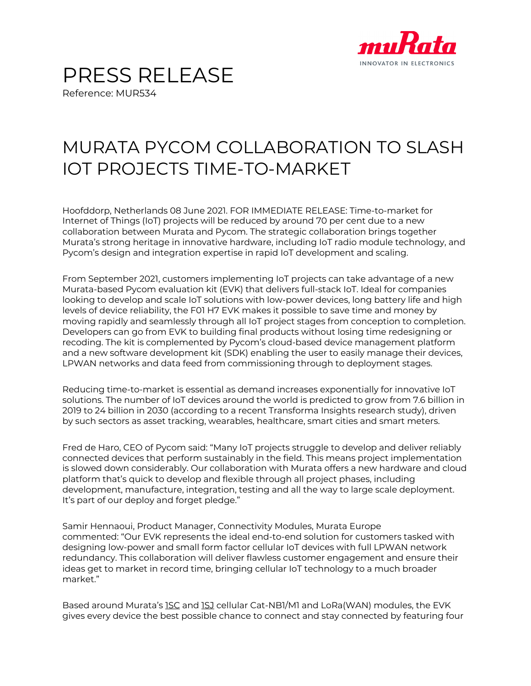

## PRESS RELEASE Reference: MUR534

## MURATA PYCOM COLLABORATION TO SLASH IOT PROJECTS TIME-TO-MARKET

Hoofddorp, Netherlands 08 June 2021. FOR IMMEDIATE RELEASE: Time-to-market for Internet of Things (IoT) projects will be reduced by around 70 per cent due to a new collaboration between Murata and Pycom. The strategic collaboration brings together Murata's strong heritage in innovative hardware, including IoT radio module technology, and Pycom's design and integration expertise in rapid IoT development and scaling.

From September 2021, customers implementing IoT projects can take advantage of a new Murata-based Pycom evaluation kit (EVK) that delivers full-stack IoT. Ideal for companies looking to develop and scale IoT solutions with low-power devices, long battery life and high levels of device reliability, the F01 H7 EVK makes it possible to save time and money by moving rapidly and seamlessly through all IoT project stages from conception to completion. Developers can go from EVK to building final products without losing time redesigning or recoding. The kit is complemented by Pycom's cloud-based device management platform and a new software development kit (SDK) enabling the user to easily manage their devices, LPWAN networks and data feed from commissioning through to deployment stages.

Reducing time-to-market is essential as demand increases exponentially for innovative IoT solutions. The number of IoT devices around the world is predicted to grow from 7.6 billion in 2019 to 24 billion in 2030 (according to a recent Transforma Insights research study), driven by such sectors as asset tracking, wearables, healthcare, smart cities and smart meters.

Fred de Haro, CEO of Pycom said: "Many IoT projects struggle to develop and deliver reliably connected devices that perform sustainably in the field. This means project implementation is slowed down considerably. Our collaboration with Murata offers a new hardware and cloud platform that's quick to develop and flexible through all project phases, including development, manufacture, integration, testing and all the way to large scale deployment. It's part of our deploy and forget pledge."

Samir Hennaoui, Product Manager, Connectivity Modules, Murata Europe commented: "Our EVK represents the ideal end-to-end solution for customers tasked with designing low-power and small form factor cellular IoT devices with full LPWAN network redundancy. This collaboration will deliver flawless customer engagement and ensure their ideas get to market in record time, bringing cellular IoT technology to a much broader market"

Based around Murata's 1SC and 1SJ cellular Cat-NB1/M1 and LoRa(WAN) modules, the EVK gives every device the best possible chance to connect and stay connected by featuring four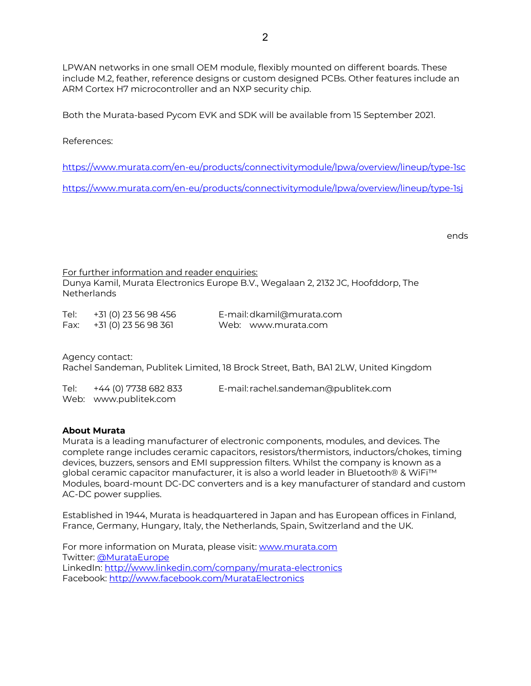LPWAN networks in one small OEM module, flexibly mounted on different boards. These include M.2, feather, reference designs or custom designed PCBs. Other features include an ARM Cortex H7 microcontroller and an NXP security chip.

Both the Murata-based Pycom EVK and SDK will be available from 15 September 2021.

References:

https://www.murata.com/en-eu/products/connectivitymodule/lpwa/overview/lineup/type-1sc

https://www.murata.com/en-eu/products/connectivitymodule/lpwa/overview/lineup/type-1sj

ends

For further information and reader enquiries: Dunya Kamil, Murata Electronics Europe B.V., Wegalaan 2, 2132 JC, Hoofddorp, The Netherlands

| Tel: | +31 (0) 23 56 98 456 | E-mail: dkamil@murata.com |
|------|----------------------|---------------------------|
| Fax: | +31 (0) 23 56 98 361 | Web: www.murata.com       |

Agency contact: Rachel Sandeman, Publitek Limited, 18 Brock Street, Bath, BA1 2LW, United Kingdom

| Tel: | +44 (0) 7738 682 833  | E-mail: rachel.sandeman@publitek.com |
|------|-----------------------|--------------------------------------|
|      | Web: www.publitek.com |                                      |

## **About Murata**

Murata is a leading manufacturer of electronic components, modules, and devices. The complete range includes ceramic capacitors, resistors/thermistors, inductors/chokes, timing devices, buzzers, sensors and EMI suppression filters. Whilst the company is known as a global ceramic capacitor manufacturer, it is also a world leader in Bluetooth® & WiFi™ Modules, board-mount DC-DC converters and is a key manufacturer of standard and custom AC-DC power supplies.

Established in 1944, Murata is headquartered in Japan and has European offices in Finland, France, Germany, Hungary, Italy, the Netherlands, Spain, Switzerland and the UK.

For more information on Murata, please visit: www.murata.com Twitter: @MurataEurope LinkedIn: http://www.linkedin.com/company/murata-electronics Facebook: http://www.facebook.com/MurataElectronics